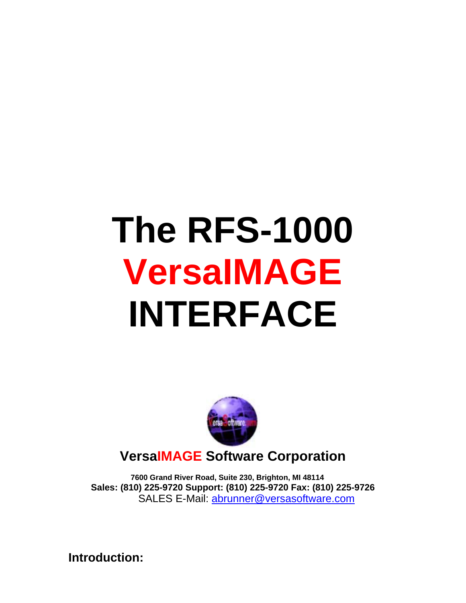## **The RFS-1000 VersaIMAGE INTERFACE**



## **VersaIMAGE Software Corporation**

**7600 Grand River Road, Suite 230, Brighton, MI 48114 Sales: (810) 225-9720 Support: (810) 225-9720 Fax: (810) 225-9726** SALES E-Mail: abrunner@versasoftware.com

**Introduction:**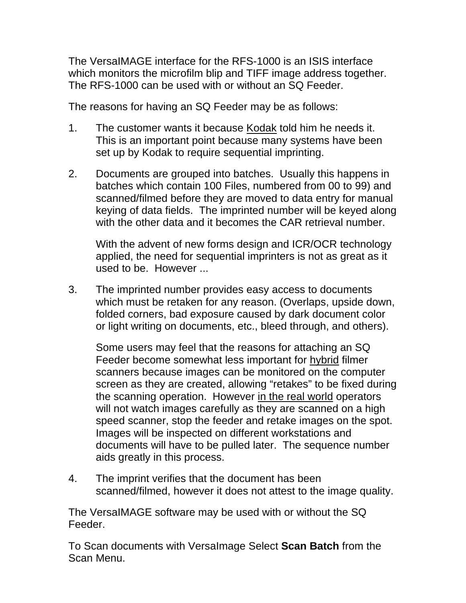The VersaIMAGE interface for the RFS-1000 is an ISIS interface which monitors the microfilm blip and TIFF image address together. The RFS-1000 can be used with or without an SQ Feeder.

The reasons for having an SQ Feeder may be as follows:

- 1. The customer wants it because Kodak told him he needs it. This is an important point because many systems have been set up by Kodak to require sequential imprinting.
- 2. Documents are grouped into batches. Usually this happens in batches which contain 100 Files, numbered from 00 to 99) and scanned/filmed before they are moved to data entry for manual keying of data fields. The imprinted number will be keyed along with the other data and it becomes the CAR retrieval number.

 With the advent of new forms design and ICR/OCR technology applied, the need for sequential imprinters is not as great as it used to be. However ...

3. The imprinted number provides easy access to documents which must be retaken for any reason. (Overlaps, upside down, folded corners, bad exposure caused by dark document color or light writing on documents, etc., bleed through, and others).

 Some users may feel that the reasons for attaching an SQ Feeder become somewhat less important for hybrid filmer scanners because images can be monitored on the computer screen as they are created, allowing "retakes" to be fixed during the scanning operation. However in the real world operators will not watch images carefully as they are scanned on a high speed scanner, stop the feeder and retake images on the spot. Images will be inspected on different workstations and documents will have to be pulled later. The sequence number aids greatly in this process.

4. The imprint verifies that the document has been scanned/filmed, however it does not attest to the image quality.

The VersaIMAGE software may be used with or without the SQ Feeder.

To Scan documents with VersaImage Select **Scan Batch** from the Scan Menu.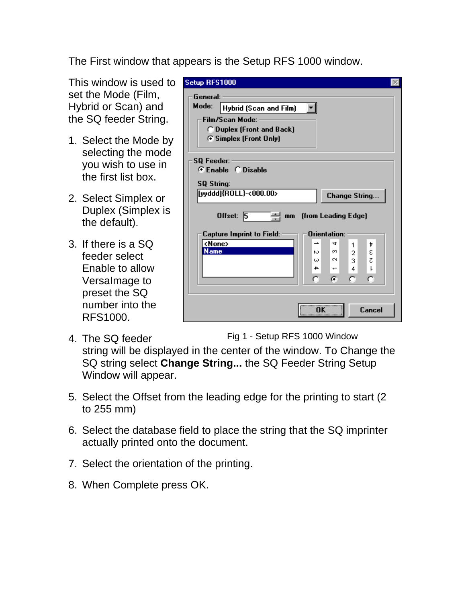The First window that appears is the Setup RFS 1000 window.

This window is used to set the Mode (Film, Hybrid or Scan) and the SQ feeder String.

- 1. Select the Mode by selecting the mode you wish to use in the first list box.
- 2. Select Simplex or Duplex (Simplex is the default).
- 3. If there is a SQ feeder select Enable to allow VersaImage to preset the SQ number into the RFS1000.
- 4. The SQ feeder

| Setup RFS1000                                   |                                  |         |                |                                  |  |
|-------------------------------------------------|----------------------------------|---------|----------------|----------------------------------|--|
| General:                                        |                                  |         |                |                                  |  |
| Mode:                                           | Hybrid (Scan and Film)           |         |                |                                  |  |
|                                                 | Film/Scan Mode:                  |         |                |                                  |  |
|                                                 | C Duplex (Front and Back)        |         |                |                                  |  |
|                                                 | <b>C</b> Simplex (Front Only)    |         |                |                                  |  |
| SQ Feeder:                                      |                                  |         |                |                                  |  |
|                                                 | C Enable C Disable               |         |                |                                  |  |
| <b>SQ String:</b>                               |                                  |         |                |                                  |  |
|                                                 | [yyddd]{ROLL}-<000.00>           |         |                | Change String                    |  |
| H<br>Offset: $ 5 $<br>(from Leading Edge)<br>mm |                                  |         |                |                                  |  |
|                                                 | <b>Capture Imprint to Field:</b> |         | Orientation:   |                                  |  |
| <none><br/><b>Name</b></none>                   |                                  | ∸<br>N. | 4<br>∞.        | t<br>1<br>ε<br>$\overline{2}$    |  |
|                                                 |                                  | ω       | l Ni           | $\overline{c}$<br>3 <sup>1</sup> |  |
|                                                 |                                  | ≏       | $\overline{ }$ | ı<br>4                           |  |
|                                                 |                                  | o       | G.             | O                                |  |
|                                                 |                                  |         |                |                                  |  |
|                                                 |                                  | <br>пĸ  |                | Cancel                           |  |

Fig 1 - Setup RFS 1000 Window

string will be displayed in the center of the window. To Change the SQ string select **Change String...** the SQ Feeder String Setup Window will appear.

- 5. Select the Offset from the leading edge for the printing to start (2 to 255 mm)
- 6. Select the database field to place the string that the SQ imprinter actually printed onto the document.
- 7. Select the orientation of the printing.
- 8. When Complete press OK.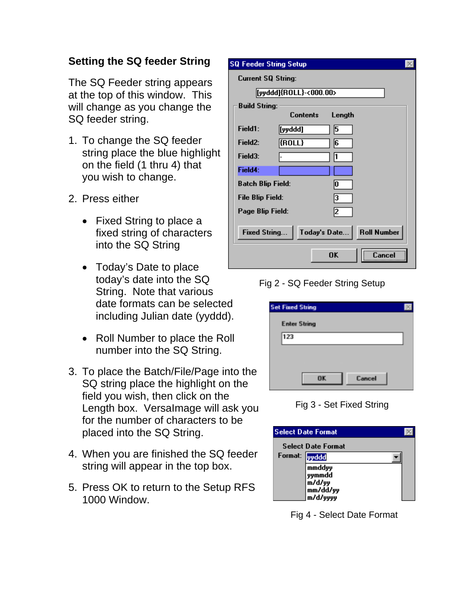## **Setting the SQ feeder String**

The SQ Feeder string appears at the top of this window. This will change as you change the SQ feeder string.

- 1. To change the SQ feeder string place the blue highlight on the field (1 thru 4) that you wish to change.
- 2. Press either
	- Fixed String to place a fixed string of characters into the SQ String
	- Today's Date to place today's date into the SQ String. Note that various date formats can be selected including Julian date (yyddd).
	- Roll Number to place the Roll number into the SQ String.
- 3. To place the Batch/File/Page into the SQ string place the highlight on the field you wish, then click on the Length box. VersaImage will ask you for the number of characters to be placed into the SQ String.
- 4. When you are finished the SQ feeder string will appear in the top box.
- 5. Press OK to return to the Setup RFS 1000 Window.

| <b>SQ Feeder String Setup</b>                             |
|-----------------------------------------------------------|
| <b>Current SQ String:</b>                                 |
| [[yyddd]{ROLL}-<000.00>                                   |
| <b>Build String:</b>                                      |
| <b>Contents</b><br>Length                                 |
| Field1:<br>[yyddd]<br>5                                   |
| Field <sub>2</sub><br>{ROLL}<br>6                         |
| Field3:<br>1                                              |
| Field4:                                                   |
| <b>Batch Blip Field:</b><br>10                            |
| <b>File Blip Field:</b><br>3                              |
| Page Blip Field:<br>2                                     |
| <b>Roll Number</b><br>Today's Date<br><b>Fixed String</b> |
| OK                                                        |



| <b>Set Fixed String</b> |  |
|-------------------------|--|
| <b>Enter String</b>     |  |
| 123                     |  |
|                         |  |
|                         |  |
| Cancel<br>OK            |  |
|                         |  |



|               | <b>Select Date Format</b>      |  |
|---------------|--------------------------------|--|
|               | <b>Select Date Format</b>      |  |
| Format: wyddd |                                |  |
|               | mmddyy<br>yymmdd               |  |
|               | m/d/yy<br>mm/dd/yy<br>m/d/yyyy |  |
|               |                                |  |

Fig 4 - Select Date Format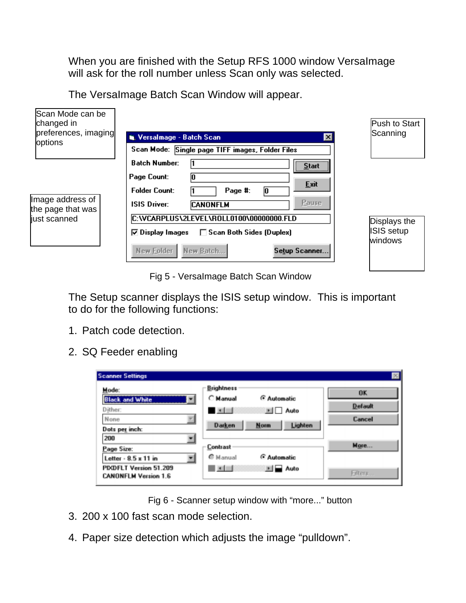When you are finished with the Setup RFS 1000 window VersaImage will ask for the roll number unless Scan only was selected.

The VersaImage Batch Scan Window will appear.

| Scan Mode can be<br>changed in<br>preferences, imaging<br>options |                                                                                                          | Push to Start<br>Scanning |
|-------------------------------------------------------------------|----------------------------------------------------------------------------------------------------------|---------------------------|
|                                                                   | $\vert x \vert$<br><b>N. Versalmage - Batch Scan</b><br>Scan Mode: Single page TIFF images, Folder Files |                           |
|                                                                   | <b>Batch Number:</b><br><br><b>Start</b>                                                                 |                           |
|                                                                   | Page Count:                                                                                              |                           |
|                                                                   | Exit<br><b>Folder Count:</b><br>Page #:<br>10                                                            |                           |
| Image address of<br>the page that was                             | <b>Pause</b><br><b>ISIS Driver:</b><br><b>CANONFLM</b>                                                   |                           |
| just scanned                                                      | C:\VCARPLUS\2LEVEL\ROLL0100\00000000.FLD                                                                 | Displays the              |
|                                                                   | $\Box$ Scan Both Sides (Duplex)<br>$\nabla$ Display Images                                               | <b>ISIS</b> setup         |
|                                                                   | New Folder<br>New Batch<br>Setup Scanner                                                                 | <u>lwindows</u>           |

Fig 5 - VersaImage Batch Scan Window

The Setup scanner displays the ISIS setup window. This is important to do for the following functions:

- 1. Patch code detection.
- 2. SQ Feeder enabling

| <b>Scanner Settings</b>                                                                           |                                                        |                                                                         | $\infty$                       |
|---------------------------------------------------------------------------------------------------|--------------------------------------------------------|-------------------------------------------------------------------------|--------------------------------|
| Mode:<br><b>Black and White</b><br>Dither:<br>None<br>Dots per inch:<br>200                       | <b>Brightness</b><br>C Manual<br><b>STER</b><br>Darken | <b><i>C</i></b> Automatic<br><b>El</b> □ Auto<br>Lighten<br><b>Norm</b> | OK<br><b>Default</b><br>Cancel |
| Page Size:<br>Letter $-8.5 \times 11$ in<br>PIXDFLT Version 51.209<br><b>CANONFLM Version 1.6</b> | Contrast<br>C Manual<br><b>THE REAL</b>                | <b>G</b> Automatic<br><b>El El</b> Auto                                 | More<br>Filters                |

Fig 6 - Scanner setup window with "more..." button

- 3. 200 x 100 fast scan mode selection.
- 4. Paper size detection which adjusts the image "pulldown".